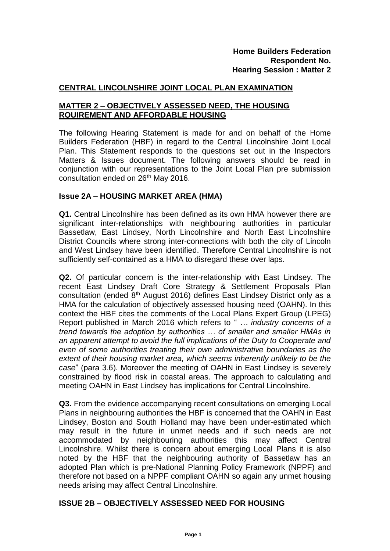## **CENTRAL LINCOLNSHIRE JOINT LOCAL PLAN EXAMINATION**

## **MATTER 2 – OBJECTIVELY ASSESSED NEED, THE HOUSING RQUIREMENT AND AFFORDABLE HOUSING**

The following Hearing Statement is made for and on behalf of the Home Builders Federation (HBF) in regard to the Central Lincolnshire Joint Local Plan. This Statement responds to the questions set out in the Inspectors Matters & Issues document. The following answers should be read in conjunction with our representations to the Joint Local Plan pre submission consultation ended on 26<sup>th</sup> May 2016.

### **Issue 2A – HOUSING MARKET AREA (HMA)**

**Q1.** Central Lincolnshire has been defined as its own HMA however there are significant inter-relationships with neighbouring authorities in particular Bassetlaw, East Lindsey, North Lincolnshire and North East Lincolnshire District Councils where strong inter-connections with both the city of Lincoln and West Lindsey have been identified. Therefore Central Lincolnshire is not sufficiently self-contained as a HMA to disregard these over laps.

**Q2.** Of particular concern is the inter-relationship with East Lindsey. The recent East Lindsey Draft Core Strategy & Settlement Proposals Plan consultation (ended 8<sup>th</sup> August 2016) defines East Lindsey District only as a HMA for the calculation of objectively assessed housing need (OAHN). In this context the HBF cites the comments of the Local Plans Expert Group (LPEG) Report published in March 2016 which refers to " *… industry concerns of a trend towards the adoption by authorities … of smaller and smaller HMAs in an apparent attempt to avoid the full implications of the Duty to Cooperate and even of some authorities treating their own administrative boundaries as the extent of their housing market area, which seems inherently unlikely to be the case*" (para 3.6). Moreover the meeting of OAHN in East Lindsey is severely constrained by flood risk in coastal areas. The approach to calculating and meeting OAHN in East Lindsey has implications for Central Lincolnshire.

**Q3.** From the evidence accompanying recent consultations on emerging Local Plans in neighbouring authorities the HBF is concerned that the OAHN in East Lindsey, Boston and South Holland may have been under-estimated which may result in the future in unmet needs and if such needs are not accommodated by neighbouring authorities this may affect Central Lincolnshire. Whilst there is concern about emerging Local Plans it is also noted by the HBF that the neighbouring authority of Bassetlaw has an adopted Plan which is pre-National Planning Policy Framework (NPPF) and therefore not based on a NPPF compliant OAHN so again any unmet housing needs arising may affect Central Lincolnshire.

### **ISSUE 2B – OBJECTIVELY ASSESSED NEED FOR HOUSING**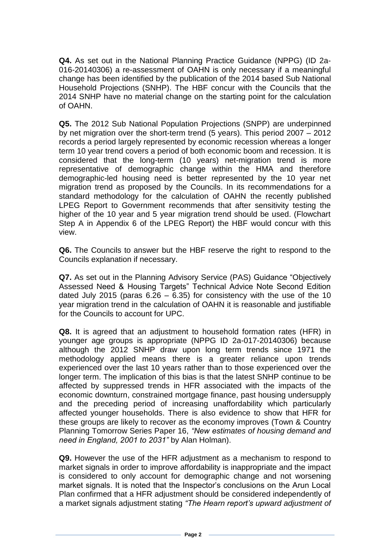**Q4.** As set out in the National Planning Practice Guidance (NPPG) (ID 2a-016-20140306) a re-assessment of OAHN is only necessary if a meaningful change has been identified by the publication of the 2014 based Sub National Household Projections (SNHP). The HBF concur with the Councils that the 2014 SNHP have no material change on the starting point for the calculation of OAHN.

**Q5.** The 2012 Sub National Population Projections (SNPP) are underpinned by net migration over the short-term trend (5 years). This period 2007 – 2012 records a period largely represented by economic recession whereas a longer term 10 year trend covers a period of both economic boom and recession. It is considered that the long-term (10 years) net-migration trend is more representative of demographic change within the HMA and therefore demographic-led housing need is better represented by the 10 year net migration trend as proposed by the Councils. In its recommendations for a standard methodology for the calculation of OAHN the recently published LPEG Report to Government recommends that after sensitivity testing the higher of the 10 year and 5 year migration trend should be used. (Flowchart Step A in Appendix 6 of the LPEG Report) the HBF would concur with this view.

**Q6.** The Councils to answer but the HBF reserve the right to respond to the Councils explanation if necessary.

**Q7.** As set out in the Planning Advisory Service (PAS) Guidance "Objectively Assessed Need & Housing Targets" Technical Advice Note Second Edition dated July 2015 (paras  $6.26 - 6.35$ ) for consistency with the use of the 10 year migration trend in the calculation of OAHN it is reasonable and justifiable for the Councils to account for UPC.

**Q8.** It is agreed that an adjustment to household formation rates (HFR) in younger age groups is appropriate (NPPG ID 2a-017-20140306) because although the 2012 SNHP draw upon long term trends since 1971 the methodology applied means there is a greater reliance upon trends experienced over the last 10 years rather than to those experienced over the longer term. The implication of this bias is that the latest SNHP continue to be affected by suppressed trends in HFR associated with the impacts of the economic downturn, constrained mortgage finance, past housing undersupply and the preceding period of increasing unaffordability which particularly affected younger households. There is also evidence to show that HFR for these groups are likely to recover as the economy improves (Town & Country Planning Tomorrow Series Paper 16, *"New estimates of housing demand and need in England, 2001 to 2031"* by Alan Holman).

**Q9.** However the use of the HFR adjustment as a mechanism to respond to market signals in order to improve affordability is inappropriate and the impact is considered to only account for demographic change and not worsening market signals. It is noted that the Inspector's conclusions on the Arun Local Plan confirmed that a HFR adjustment should be considered independently of a market signals adjustment stating *"The Hearn report's upward adjustment of*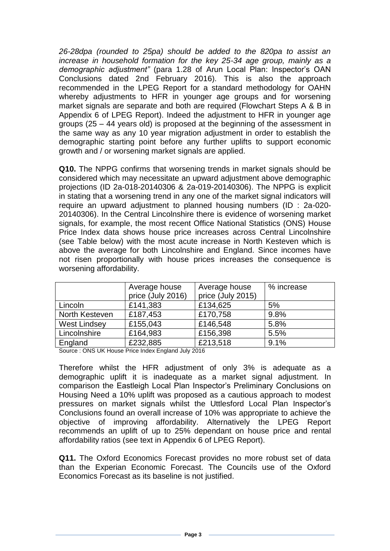*26-28dpa (rounded to 25pa) should be added to the 820pa to assist an*  increase in household formation for the key 25-34 age group, mainly as a *demographic adjustment"* (para 1.28 of Arun Local Plan: Inspector's OAN Conclusions dated 2nd February 2016). This is also the approach recommended in the LPEG Report for a standard methodology for OAHN whereby adjustments to HFR in younger age groups and for worsening market signals are separate and both are required (Flowchart Steps A & B in Appendix 6 of LPEG Report). Indeed the adjustment to HFR in younger age groups (25 – 44 years old) is proposed at the beginning of the assessment in the same way as any 10 year migration adjustment in order to establish the demographic starting point before any further uplifts to support economic growth and / or worsening market signals are applied.

**Q10.** The NPPG confirms that worsening trends in market signals should be considered which may necessitate an upward adjustment above demographic projections (ID 2a-018-20140306 & 2a-019-20140306). The NPPG is explicit in stating that a worsening trend in any one of the market signal indicators will require an upward adjustment to planned housing numbers (ID : 2a-020- 20140306). In the Central Lincolnshire there is evidence of worsening market signals, for example, the most recent Office National Statistics (ONS) House Price Index data shows house price increases across Central Lincolnshire (see Table below) with the most acute increase in North Kesteven which is above the average for both Lincolnshire and England. Since incomes have not risen proportionally with house prices increases the consequence is worsening affordability.

|                     | Average house<br>price (July 2016) | Average house<br>price (July 2015) | % increase |
|---------------------|------------------------------------|------------------------------------|------------|
| Lincoln             | £141,383                           | £134,625                           | 5%         |
| North Kesteven      | £187,453                           | £170,758                           | 9.8%       |
| <b>West Lindsey</b> | £155,043                           | £146,548                           | 5.8%       |
| Lincolnshire        | £164,983                           | £156,398                           | 5.5%       |
| England             | £232,885                           | £213,518                           | 9.1%       |

Source : ONS UK House Price Index England July 2016

Therefore whilst the HFR adjustment of only 3% is adequate as a demographic uplift it is inadequate as a market signal adjustment. In comparison the Eastleigh Local Plan Inspector's Preliminary Conclusions on Housing Need a 10% uplift was proposed as a cautious approach to modest pressures on market signals whilst the Uttlesford Local Plan Inspector's Conclusions found an overall increase of 10% was appropriate to achieve the objective of improving affordability. Alternatively the LPEG Report recommends an uplift of up to 25% dependant on house price and rental affordability ratios (see text in Appendix 6 of LPEG Report).

**Q11.** The Oxford Economics Forecast provides no more robust set of data than the Experian Economic Forecast. The Councils use of the Oxford Economics Forecast as its baseline is not justified.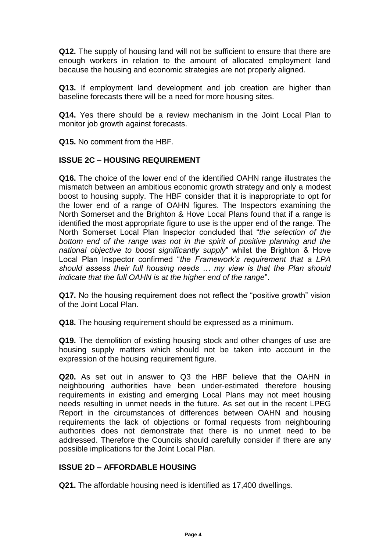**Q12.** The supply of housing land will not be sufficient to ensure that there are enough workers in relation to the amount of allocated employment land because the housing and economic strategies are not properly aligned.

**Q13.** If employment land development and job creation are higher than baseline forecasts there will be a need for more housing sites.

**Q14.** Yes there should be a review mechanism in the Joint Local Plan to monitor job growth against forecasts.

**Q15.** No comment from the HBF.

# **ISSUE 2C – HOUSING REQUIREMENT**

**Q16.** The choice of the lower end of the identified OAHN range illustrates the mismatch between an ambitious economic growth strategy and only a modest boost to housing supply. The HBF consider that it is inappropriate to opt for the lower end of a range of OAHN figures. The Inspectors examining the North Somerset and the Brighton & Hove Local Plans found that if a range is identified the most appropriate figure to use is the upper end of the range. The North Somerset Local Plan Inspector concluded that "*the selection of the bottom end of the range was not in the spirit of positive planning and the national objective to boost significantly supply*" whilst the Brighton & Hove Local Plan Inspector confirmed "*the Framework's requirement that a LPA should assess their full housing needs … my view is that the Plan should indicate that the full OAHN is at the higher end of the range*".

**Q17.** No the housing requirement does not reflect the "positive growth" vision of the Joint Local Plan.

**Q18.** The housing requirement should be expressed as a minimum.

**Q19.** The demolition of existing housing stock and other changes of use are housing supply matters which should not be taken into account in the expression of the housing requirement figure.

**Q20.** As set out in answer to Q3 the HBF believe that the OAHN in neighbouring authorities have been under-estimated therefore housing requirements in existing and emerging Local Plans may not meet housing needs resulting in unmet needs in the future. As set out in the recent LPEG Report in the circumstances of differences between OAHN and housing requirements the lack of objections or formal requests from neighbouring authorities does not demonstrate that there is no unmet need to be addressed. Therefore the Councils should carefully consider if there are any possible implications for the Joint Local Plan.

# **ISSUE 2D – AFFORDABLE HOUSING**

**Q21.** The affordable housing need is identified as 17,400 dwellings.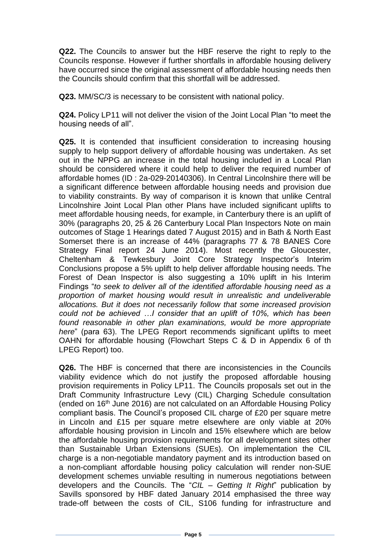**Q22.** The Councils to answer but the HBF reserve the right to reply to the Councils response. However if further shortfalls in affordable housing delivery have occurred since the original assessment of affordable housing needs then the Councils should confirm that this shortfall will be addressed.

**Q23.** MM/SC/3 is necessary to be consistent with national policy.

**Q24.** Policy LP11 will not deliver the vision of the Joint Local Plan "to meet the housing needs of all".

**Q25.** It is contended that insufficient consideration to increasing housing supply to help support delivery of affordable housing was undertaken. As set out in the NPPG an increase in the total housing included in a Local Plan should be considered where it could help to deliver the required number of affordable homes (ID : 2a-029-20140306). In Central Lincolnshire there will be a significant difference between affordable housing needs and provision due to viability constraints. By way of comparison it is known that unlike Central Lincolnshire Joint Local Plan other Plans have included significant uplifts to meet affordable housing needs, for example, in Canterbury there is an uplift of 30% (paragraphs 20, 25 & 26 Canterbury Local Plan Inspectors Note on main outcomes of Stage 1 Hearings dated 7 August 2015) and in Bath & North East Somerset there is an increase of 44% (paragraphs 77 & 78 BANES Core Strategy Final report 24 June 2014). Most recently the Gloucester, Cheltenham & Tewkesbury Joint Core Strategy Inspector's Interim Conclusions propose a 5% uplift to help deliver affordable housing needs. The Forest of Dean Inspector is also suggesting a 10% uplift in his Interim Findings "*to seek to deliver all of the identified affordable housing need as a proportion of market housing would result in unrealistic and undeliverable allocations. But it does not necessarily follow that some increased provision could not be achieved …I consider that an uplift of 10%, which has been found reasonable in other plan examinations, would be more appropriate here*" (para 63). The LPEG Report recommends significant uplifts to meet OAHN for affordable housing (Flowchart Steps C & D in Appendix 6 of th LPEG Report) too.

**Q26.** The HBF is concerned that there are inconsistencies in the Councils viability evidence which do not justify the proposed affordable housing provision requirements in Policy LP11. The Councils proposals set out in the Draft Community Infrastructure Levy (CIL) Charging Schedule consultation (ended on 16th June 2016) are not calculated on an Affordable Housing Policy compliant basis. The Council's proposed CIL charge of £20 per square metre in Lincoln and £15 per square metre elsewhere are only viable at 20% affordable housing provision in Lincoln and 15% elsewhere which are below the affordable housing provision requirements for all development sites other than Sustainable Urban Extensions (SUEs). On implementation the CIL charge is a non-negotiable mandatory payment and its introduction based on a non-compliant affordable housing policy calculation will render non-SUE development schemes unviable resulting in numerous negotiations between developers and the Councils. The "*CIL – Getting It Right*" publication by Savills sponsored by HBF dated January 2014 emphasised the three way trade-off between the costs of CIL, S106 funding for infrastructure and